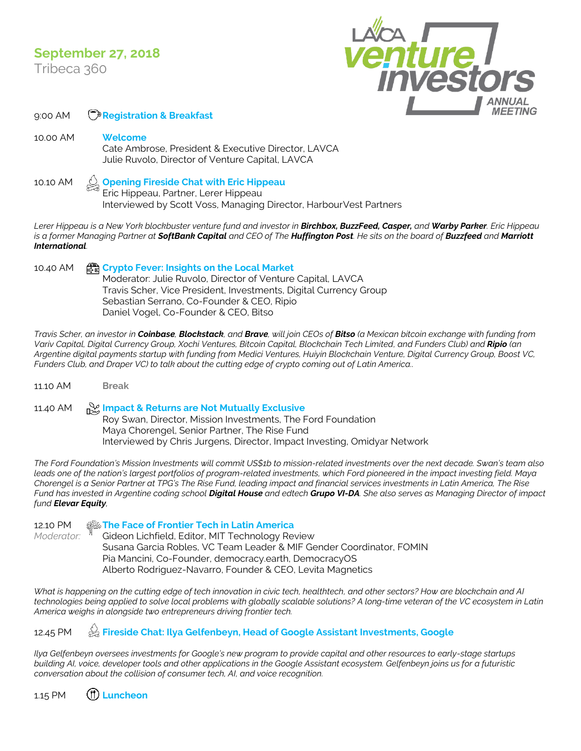## **September 27, 2018**

Tribeca 360



9:00 AM **Registration & Breakfast**

10.00 AM **Welcome** Cate Ambrose, President & Executive Director, LAVCA Julie Ruvolo, Director of Venture Capital, LAVCA

10.10 AM **Opening Fireside Chat with Eric Hippeau** Eric Hippeau, Partner, Lerer Hippeau Interviewed by Scott Voss, Managing Director, HarbourVest Partners

*Lerer Hippeau is a New York blockbuster venture fund and investor in Birchbox, BuzzFeed, Casper, and Warby Parker. Eric Hippeau is a former Managing Partner at SoftBank Capital and CEO of The Huffington Post. He sits on the board of Buzzfeed and Marriott International.* 

10.40 AM **Crypto Fever: Insights on the Local Market** Moderator: Julie Ruvolo, Director of Venture Capital, LAVCA Travis Scher, Vice President, Investments, Digital Currency Group Sebastian Serrano, Co-Founder & CEO, Ripio Daniel Vogel, Co-Founder & CEO, Bitso

*Travis Scher, an investor in Coinbase, Blockstack, and Brave, will join CEOs of Bitso (a Mexican bitcoin exchange with funding from Variv Capital, Digital Currency Group, Xochi Ventures, Bitcoin Capital, Blockchain Tech Limited, and Funders Club) and Ripio (an Argentine digital payments startup with funding from Medici Ventures, Huiyin Blockchain Venture, Digital Currency Group, Boost VC, Funders Club, and Draper VC) to talk about the cutting edge of crypto coming out of Latin America..*

11.10 AM **Break**

11.40 AM **Impact & Returns are Not Mutually Exclusive** Roy Swan, Director, Mission Investments, The Ford Foundation Maya Chorengel, Senior Partner, The Rise Fund Interviewed by Chris Jurgens, Director, Impact Investing, Omidyar Network

*The Ford Foundation's Mission Investments will commit US\$1b to mission-related investments over the next decade. Swan's team also leads one of the nation's largest portfolios of program-related investments, which Ford pioneered in the impact investing field. Maya Chorengel is a Senior Partner at TPG's The Rise Fund, leading impact and financial services investments in Latin America, The Rise Fund has invested in Argentine coding school Digital House and edtech Grupo VI-DA. She also serves as Managing Director of impact fund Elevar Equity,* 

12.10 PM **The Face of Frontier Tech in Latin America** *Moderator:* " Gideon Lichfield, Editor, MIT Technology Review Susana Garcia Robles, VC Team Leader & MIF Gender Coordinator, FOMIN Pia Mancini, Co-Founder, democracy.earth, DemocracyOS Alberto Rodriguez-Navarro, Founder & CEO, Levita Magnetics

*What is happening on the cutting edge of tech innovation in civic tech, healthtech, and other sectors? How are blockchain and AI technologies being applied to solve local problems with globally scalable solutions? A long-time veteran of the VC ecosystem in Latin America weighs in alongside two entrepreneurs driving frontier tech.*

## 12.45 PM  $\otimes$  Fireside Chat: Ilya Gelfenbeyn, Head of Google Assistant Investments, Google

*Ilya Gelfenbeyn oversees investments for Google's new program to provide capital and other resources to early-stage startups building AI, voice, developer tools and other applications in the Google Assistant ecosystem. Gelfenbeyn joins us for a futuristic conversation about the collision of consumer tech, AI, and voice recognition.*

1.15 PM **Luncheon**